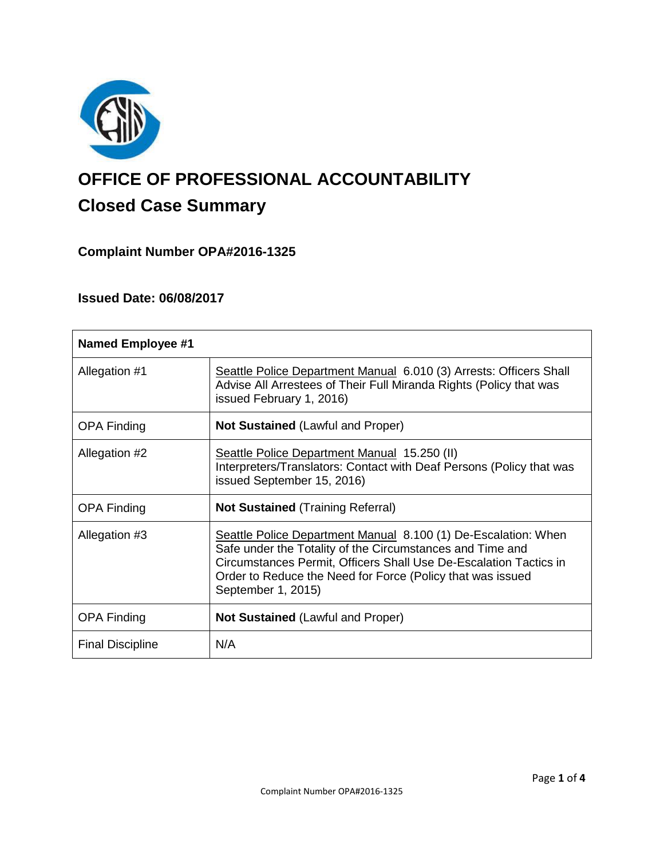

# **OFFICE OF PROFESSIONAL ACCOUNTABILITY Closed Case Summary**

# **Complaint Number OPA#2016-1325**

## **Issued Date: 06/08/2017**

| <b>Named Employee #1</b> |                                                                                                                                                                                                                                                                                      |
|--------------------------|--------------------------------------------------------------------------------------------------------------------------------------------------------------------------------------------------------------------------------------------------------------------------------------|
| Allegation #1            | Seattle Police Department Manual 6.010 (3) Arrests: Officers Shall<br>Advise All Arrestees of Their Full Miranda Rights (Policy that was<br>issued February 1, 2016)                                                                                                                 |
| <b>OPA Finding</b>       | <b>Not Sustained (Lawful and Proper)</b>                                                                                                                                                                                                                                             |
| Allegation #2            | Seattle Police Department Manual 15.250 (II)<br>Interpreters/Translators: Contact with Deaf Persons (Policy that was<br>issued September 15, 2016)                                                                                                                                   |
| <b>OPA Finding</b>       | <b>Not Sustained (Training Referral)</b>                                                                                                                                                                                                                                             |
| Allegation #3            | Seattle Police Department Manual 8.100 (1) De-Escalation: When<br>Safe under the Totality of the Circumstances and Time and<br>Circumstances Permit, Officers Shall Use De-Escalation Tactics in<br>Order to Reduce the Need for Force (Policy that was issued<br>September 1, 2015) |
| <b>OPA Finding</b>       | <b>Not Sustained (Lawful and Proper)</b>                                                                                                                                                                                                                                             |
| <b>Final Discipline</b>  | N/A                                                                                                                                                                                                                                                                                  |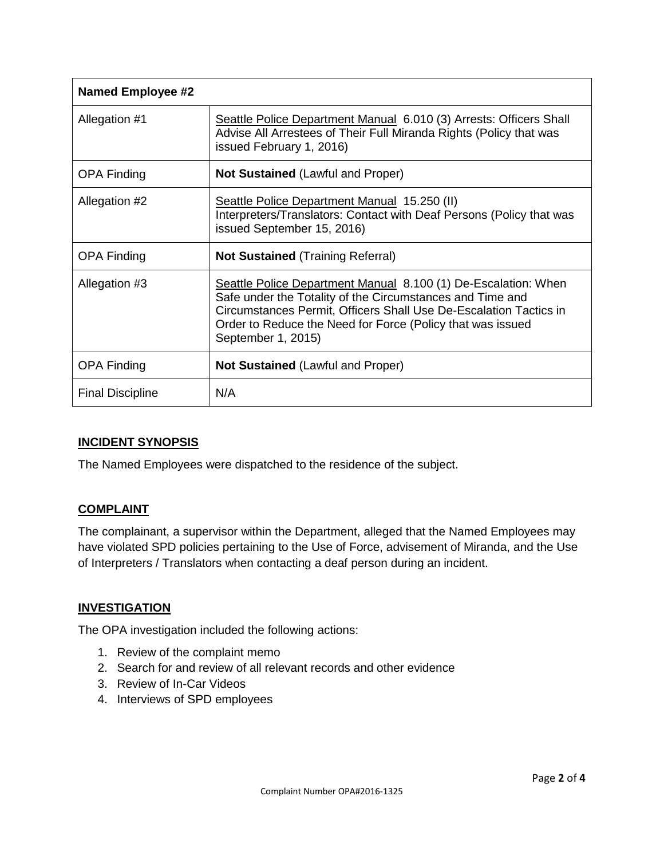| <b>Named Employee #2</b> |                                                                                                                                                                                                                                                                                      |
|--------------------------|--------------------------------------------------------------------------------------------------------------------------------------------------------------------------------------------------------------------------------------------------------------------------------------|
| Allegation #1            | Seattle Police Department Manual 6.010 (3) Arrests: Officers Shall<br>Advise All Arrestees of Their Full Miranda Rights (Policy that was<br>issued February 1, 2016)                                                                                                                 |
| <b>OPA Finding</b>       | <b>Not Sustained (Lawful and Proper)</b>                                                                                                                                                                                                                                             |
| Allegation #2            | Seattle Police Department Manual 15.250 (II)<br>Interpreters/Translators: Contact with Deaf Persons (Policy that was<br>issued September 15, 2016)                                                                                                                                   |
| <b>OPA Finding</b>       | <b>Not Sustained (Training Referral)</b>                                                                                                                                                                                                                                             |
| Allegation #3            | Seattle Police Department Manual 8.100 (1) De-Escalation: When<br>Safe under the Totality of the Circumstances and Time and<br>Circumstances Permit, Officers Shall Use De-Escalation Tactics in<br>Order to Reduce the Need for Force (Policy that was issued<br>September 1, 2015) |
| <b>OPA Finding</b>       | <b>Not Sustained (Lawful and Proper)</b>                                                                                                                                                                                                                                             |
| <b>Final Discipline</b>  | N/A                                                                                                                                                                                                                                                                                  |

## **INCIDENT SYNOPSIS**

The Named Employees were dispatched to the residence of the subject.

#### **COMPLAINT**

The complainant, a supervisor within the Department, alleged that the Named Employees may have violated SPD policies pertaining to the Use of Force, advisement of Miranda, and the Use of Interpreters / Translators when contacting a deaf person during an incident.

#### **INVESTIGATION**

The OPA investigation included the following actions:

- 1. Review of the complaint memo
- 2. Search for and review of all relevant records and other evidence
- 3. Review of In-Car Videos
- 4. Interviews of SPD employees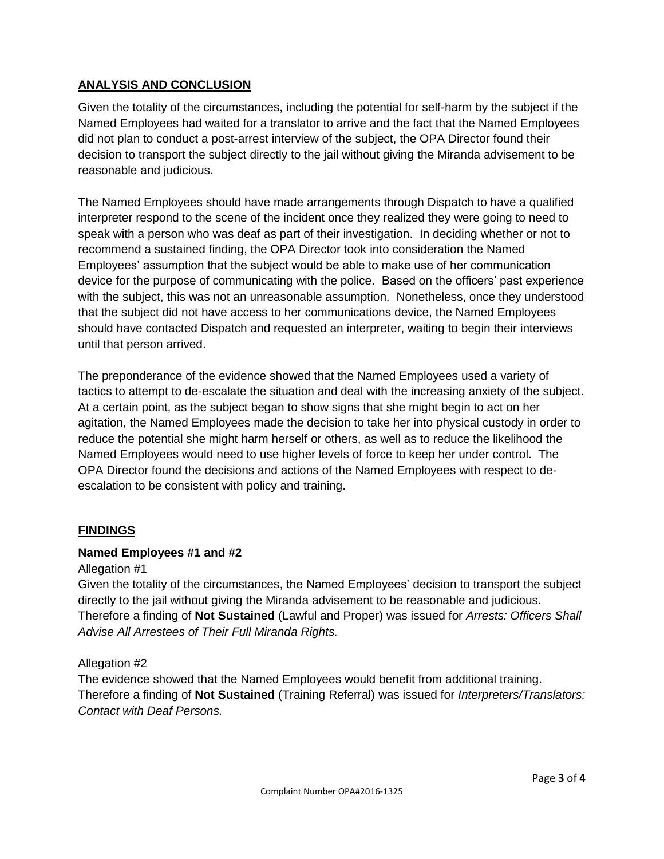## **ANALYSIS AND CONCLUSION**

Given the totality of the circumstances, including the potential for self-harm by the subject if the Named Employees had waited for a translator to arrive and the fact that the Named Employees did not plan to conduct a post-arrest interview of the subject, the OPA Director found their decision to transport the subject directly to the jail without giving the Miranda advisement to be reasonable and judicious.

The Named Employees should have made arrangements through Dispatch to have a qualified interpreter respond to the scene of the incident once they realized they were going to need to speak with a person who was deaf as part of their investigation. In deciding whether or not to recommend a sustained finding, the OPA Director took into consideration the Named Employees' assumption that the subject would be able to make use of her communication device for the purpose of communicating with the police. Based on the officers' past experience with the subject, this was not an unreasonable assumption. Nonetheless, once they understood that the subject did not have access to her communications device, the Named Employees should have contacted Dispatch and requested an interpreter, waiting to begin their interviews until that person arrived.

The preponderance of the evidence showed that the Named Employees used a variety of tactics to attempt to de-escalate the situation and deal with the increasing anxiety of the subject. At a certain point, as the subject began to show signs that she might begin to act on her agitation, the Named Employees made the decision to take her into physical custody in order to reduce the potential she might harm herself or others, as well as to reduce the likelihood the Named Employees would need to use higher levels of force to keep her under control. The OPA Director found the decisions and actions of the Named Employees with respect to deescalation to be consistent with policy and training.

## **FINDINGS**

## **Named Employees #1 and #2**

#### Allegation #1

Given the totality of the circumstances, the Named Employees' decision to transport the subject directly to the jail without giving the Miranda advisement to be reasonable and judicious. Therefore a finding of **Not Sustained** (Lawful and Proper) was issued for *Arrests: Officers Shall Advise All Arrestees of Their Full Miranda Rights.*

#### Allegation #2

The evidence showed that the Named Employees would benefit from additional training. Therefore a finding of **Not Sustained** (Training Referral) was issued for *Interpreters/Translators: Contact with Deaf Persons.*